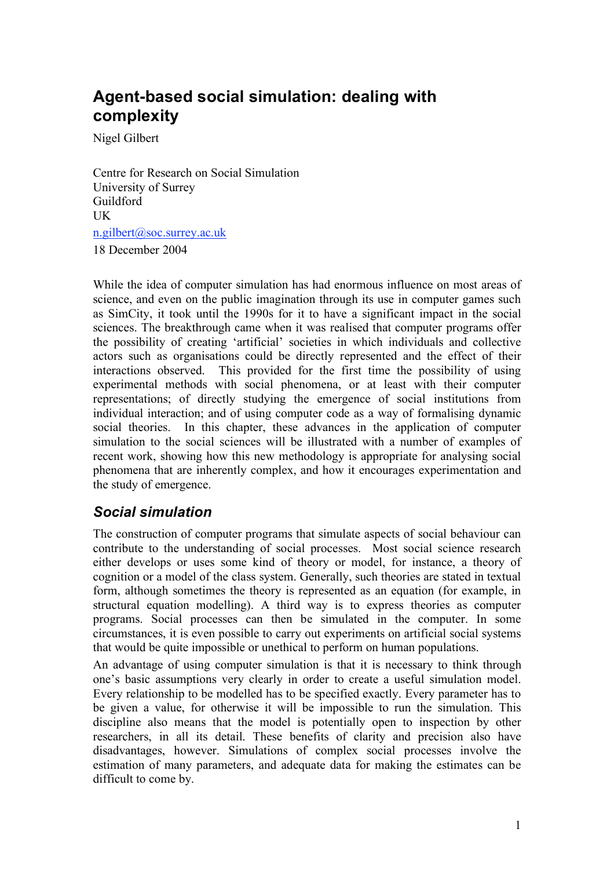# **Agent-based social simulation: dealing with complexity**

Nigel Gilbert

Centre for Research on Social Simulation University of Surrey Guildford UK n.gilbert@soc.surrey.ac.uk

18 December 2004

While the idea of computer simulation has had enormous influence on most areas of science, and even on the public imagination through its use in computer games such as SimCity, it took until the 1990s for it to have a significant impact in the social sciences. The breakthrough came when it was realised that computer programs offer the possibility of creating 'artificial' societies in which individuals and collective actors such as organisations could be directly represented and the effect of their interactions observed. This provided for the first time the possibility of using experimental methods with social phenomena, or at least with their computer representations; of directly studying the emergence of social institutions from individual interaction; and of using computer code as a way of formalising dynamic social theories. In this chapter, these advances in the application of computer simulation to the social sciences will be illustrated with a number of examples of recent work, showing how this new methodology is appropriate for analysing social phenomena that are inherently complex, and how it encourages experimentation and the study of emergence.

# *Social simulation*

The construction of computer programs that simulate aspects of social behaviour can contribute to the understanding of social processes. Most social science research either develops or uses some kind of theory or model, for instance, a theory of cognition or a model of the class system. Generally, such theories are stated in textual form, although sometimes the theory is represented as an equation (for example, in structural equation modelling). A third way is to express theories as computer programs. Social processes can then be simulated in the computer. In some circumstances, it is even possible to carry out experiments on artificial social systems that would be quite impossible or unethical to perform on human populations.

An advantage of using computer simulation is that it is necessary to think through one's basic assumptions very clearly in order to create a useful simulation model. Every relationship to be modelled has to be specified exactly. Every parameter has to be given a value, for otherwise it will be impossible to run the simulation. This discipline also means that the model is potentially open to inspection by other researchers, in all its detail. These benefits of clarity and precision also have disadvantages, however. Simulations of complex social processes involve the estimation of many parameters, and adequate data for making the estimates can be difficult to come by.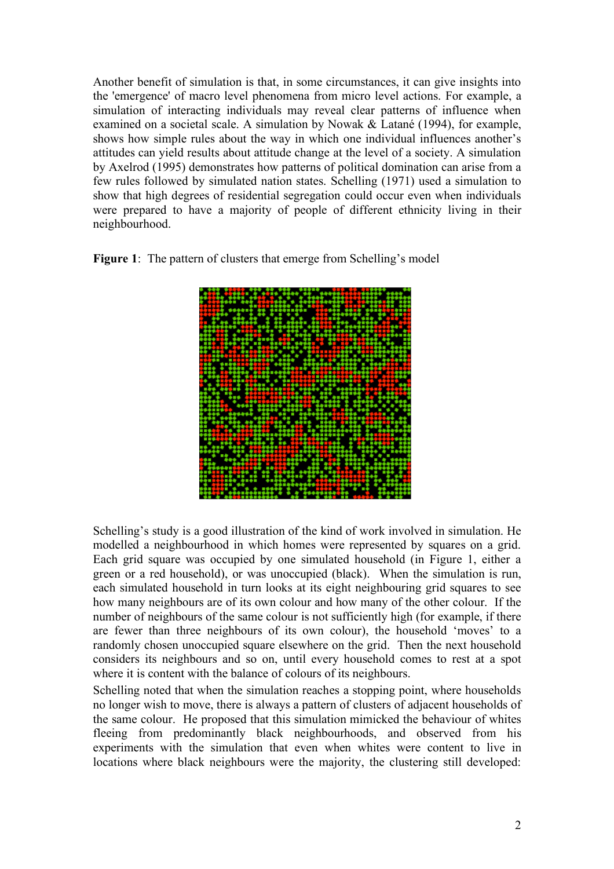Another benefit of simulation is that, in some circumstances, it can give insights into the 'emergence' of macro level phenomena from micro level actions. For example, a simulation of interacting individuals may reveal clear patterns of influence when examined on a societal scale. A simulation by Nowak & Latané (1994), for example, shows how simple rules about the way in which one individual influences another's attitudes can yield results about attitude change at the level of a society. A simulation by Axelrod (1995) demonstrates how patterns of political domination can arise from a few rules followed by simulated nation states. Schelling (1971) used a simulation to show that high degrees of residential segregation could occur even when individuals were prepared to have a majority of people of different ethnicity living in their neighbourhood.

**Figure** 1: The pattern of clusters that emerge from Schelling's model



Schelling's study is a good illustration of the kind of work involved in simulation. He modelled a neighbourhood in which homes were represented by squares on a grid. Each grid square was occupied by one simulated household (in Figure 1, either a green or a red household), or was unoccupied (black). When the simulation is run, each simulated household in turn looks at its eight neighbouring grid squares to see how many neighbours are of its own colour and how many of the other colour. If the number of neighbours of the same colour is not sufficiently high (for example, if there are fewer than three neighbours of its own colour), the household 'moves' to a randomly chosen unoccupied square elsewhere on the grid. Then the next household considers its neighbours and so on, until every household comes to rest at a spot where it is content with the balance of colours of its neighbours.

Schelling noted that when the simulation reaches a stopping point, where households no longer wish to move, there is always a pattern of clusters of adjacent households of the same colour. He proposed that this simulation mimicked the behaviour of whites fleeing from predominantly black neighbourhoods, and observed from his experiments with the simulation that even when whites were content to live in locations where black neighbours were the majority, the clustering still developed: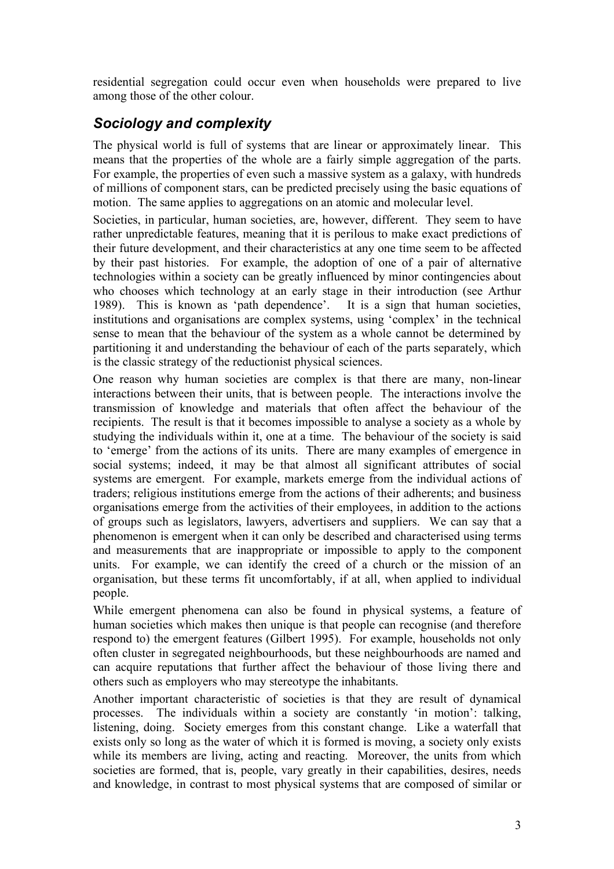residential segregation could occur even when households were prepared to live among those of the other colour.

# *Sociology and complexity*

The physical world is full of systems that are linear or approximately linear. This means that the properties of the whole are a fairly simple aggregation of the parts. For example, the properties of even such a massive system as a galaxy, with hundreds of millions of component stars, can be predicted precisely using the basic equations of motion. The same applies to aggregations on an atomic and molecular level.

Societies, in particular, human societies, are, however, different. They seem to have rather unpredictable features, meaning that it is perilous to make exact predictions of their future development, and their characteristics at any one time seem to be affected by their past histories. For example, the adoption of one of a pair of alternative technologies within a society can be greatly influenced by minor contingencies about who chooses which technology at an early stage in their introduction (see Arthur 1989). This is known as 'path dependence'. It is a sign that human societies, institutions and organisations are complex systems, using 'complex' in the technical sense to mean that the behaviour of the system as a whole cannot be determined by partitioning it and understanding the behaviour of each of the parts separately, which is the classic strategy of the reductionist physical sciences.

One reason why human societies are complex is that there are many, non-linear interactions between their units, that is between people. The interactions involve the transmission of knowledge and materials that often affect the behaviour of the recipients. The result is that it becomes impossible to analyse a society as a whole by studying the individuals within it, one at a time. The behaviour of the society is said to 'emerge' from the actions of its units. There are many examples of emergence in social systems; indeed, it may be that almost all significant attributes of social systems are emergent. For example, markets emerge from the individual actions of traders; religious institutions emerge from the actions of their adherents; and business organisations emerge from the activities of their employees, in addition to the actions of groups such as legislators, lawyers, advertisers and suppliers. We can say that a phenomenon is emergent when it can only be described and characterised using terms and measurements that are inappropriate or impossible to apply to the component units. For example, we can identify the creed of a church or the mission of an organisation, but these terms fit uncomfortably, if at all, when applied to individual people.

While emergent phenomena can also be found in physical systems, a feature of human societies which makes then unique is that people can recognise (and therefore respond to) the emergent features (Gilbert 1995). For example, households not only often cluster in segregated neighbourhoods, but these neighbourhoods are named and can acquire reputations that further affect the behaviour of those living there and others such as employers who may stereotype the inhabitants.

Another important characteristic of societies is that they are result of dynamical processes. The individuals within a society are constantly 'in motion': talking, listening, doing. Society emerges from this constant change. Like a waterfall that exists only so long as the water of which it is formed is moving, a society only exists while its members are living, acting and reacting. Moreover, the units from which societies are formed, that is, people, vary greatly in their capabilities, desires, needs and knowledge, in contrast to most physical systems that are composed of similar or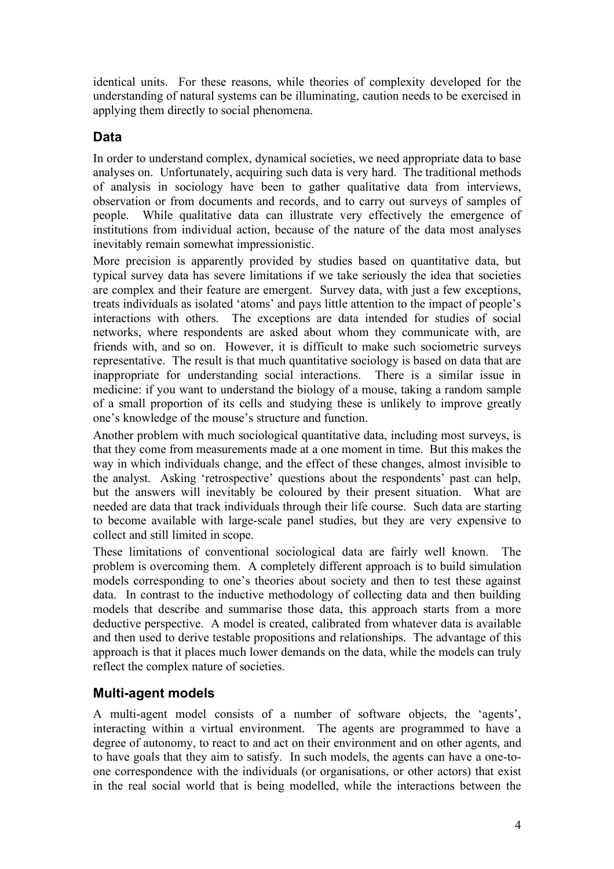identical units. For these reasons, while theories of complexity developed for the understanding of natural systems can be illuminating, caution needs to be exercised in applying them directly to social phenomena.

#### **Data**

In order to understand complex, dynamical societies, we need appropriate data to base analyses on. Unfortunately, acquiring such data is very hard. The traditional methods of analysis in sociology have been to gather qualitative data from interviews, observation or from documents and records, and to carry out surveys of samples of people. While qualitative data can illustrate very effectively the emergence of institutions from individual action, because of the nature of the data most analyses inevitably remain somewhat impressionistic.

More precision is apparently provided by studies based on quantitative data, but typical survey data has severe limitations if we take seriously the idea that societies are complex and their feature are emergent. Survey data, with just a few exceptions, treats individuals as isolated 'atoms' and pays little attention to the impact of people's interactions with others. The exceptions are data intended for studies of social networks, where respondents are asked about whom they communicate with, are friends with, and so on. However, it is difficult to make such sociometric surveys representative. The result is that much quantitative sociology is based on data that are inappropriate for understanding social interactions. There is a similar issue in medicine: if you want to understand the biology of a mouse, taking a random sample of a small proportion of its cells and studying these is unlikely to improve greatly one's knowledge of the mouse's structure and function.

Another problem with much sociological quantitative data, including most surveys, is that they come from measurements made at a one moment in time. But this makes the way in which individuals change, and the effect of these changes, almost invisible to the analyst. Asking 'retrospective' questions about the respondents' past can help, but the answers will inevitably be coloured by their present situation. What are needed are data that track individuals through their life course. Such data are starting to become available with large-scale panel studies, but they are very expensive to collect and still limited in scope.

These limitations of conventional sociological data are fairly well known. The problem is overcoming them. A completely different approach is to build simulation models corresponding to one's theories about society and then to test these against data. In contrast to the inductive methodology of collecting data and then building models that describe and summarise those data, this approach starts from a more deductive perspective. A model is created, calibrated from whatever data is available and then used to derive testable propositions and relationships. The advantage of this approach is that it places much lower demands on the data, while the models can truly reflect the complex nature of societies.

# **Multi-agent models**

A multi-agent model consists of a number of software objects, the 'agents', interacting within a virtual environment. The agents are programmed to have a degree of autonomy, to react to and act on their environment and on other agents, and to have goals that they aim to satisfy. In such models, the agents can have a one-toone correspondence with the individuals (or organisations, or other actors) that exist in the real social world that is being modelled, while the interactions between the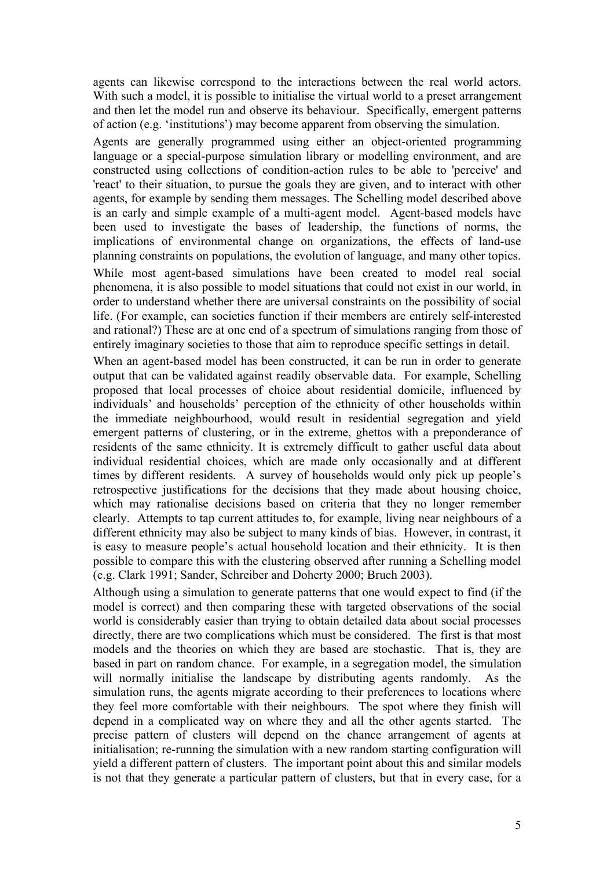agents can likewise correspond to the interactions between the real world actors. With such a model, it is possible to initialise the virtual world to a preset arrangement and then let the model run and observe its behaviour. Specifically, emergent patterns of action (e.g. 'institutions') may become apparent from observing the simulation.

Agents are generally programmed using either an object-oriented programming language or a special-purpose simulation library or modelling environment, and are constructed using collections of condition-action rules to be able to 'perceive' and 'react' to their situation, to pursue the goals they are given, and to interact with other agents, for example by sending them messages. The Schelling model described above is an early and simple example of a multi-agent model. Agent-based models have been used to investigate the bases of leadership, the functions of norms, the implications of environmental change on organizations, the effects of land-use planning constraints on populations, the evolution of language, and many other topics. While most agent-based simulations have been created to model real social phenomena, it is also possible to model situations that could not exist in our world, in order to understand whether there are universal constraints on the possibility of social life. (For example, can societies function if their members are entirely self-interested and rational?) These are at one end of a spectrum of simulations ranging from those of entirely imaginary societies to those that aim to reproduce specific settings in detail.

When an agent-based model has been constructed, it can be run in order to generate output that can be validated against readily observable data. For example, Schelling proposed that local processes of choice about residential domicile, influenced by individuals' and households' perception of the ethnicity of other households within the immediate neighbourhood, would result in residential segregation and yield emergent patterns of clustering, or in the extreme, ghettos with a preponderance of residents of the same ethnicity. It is extremely difficult to gather useful data about individual residential choices, which are made only occasionally and at different times by different residents. A survey of households would only pick up people's retrospective justifications for the decisions that they made about housing choice, which may rationalise decisions based on criteria that they no longer remember clearly. Attempts to tap current attitudes to, for example, living near neighbours of a different ethnicity may also be subject to many kinds of bias. However, in contrast, it is easy to measure people's actual household location and their ethnicity. It is then possible to compare this with the clustering observed after running a Schelling model (e.g. Clark 1991; Sander, Schreiber and Doherty 2000; Bruch 2003).

Although using a simulation to generate patterns that one would expect to find (if the model is correct) and then comparing these with targeted observations of the social world is considerably easier than trying to obtain detailed data about social processes directly, there are two complications which must be considered. The first is that most models and the theories on which they are based are stochastic. That is, they are based in part on random chance. For example, in a segregation model, the simulation will normally initialise the landscape by distributing agents randomly. As the simulation runs, the agents migrate according to their preferences to locations where they feel more comfortable with their neighbours. The spot where they finish will depend in a complicated way on where they and all the other agents started. The precise pattern of clusters will depend on the chance arrangement of agents at initialisation; re-running the simulation with a new random starting configuration will yield a different pattern of clusters. The important point about this and similar models is not that they generate a particular pattern of clusters, but that in every case, for a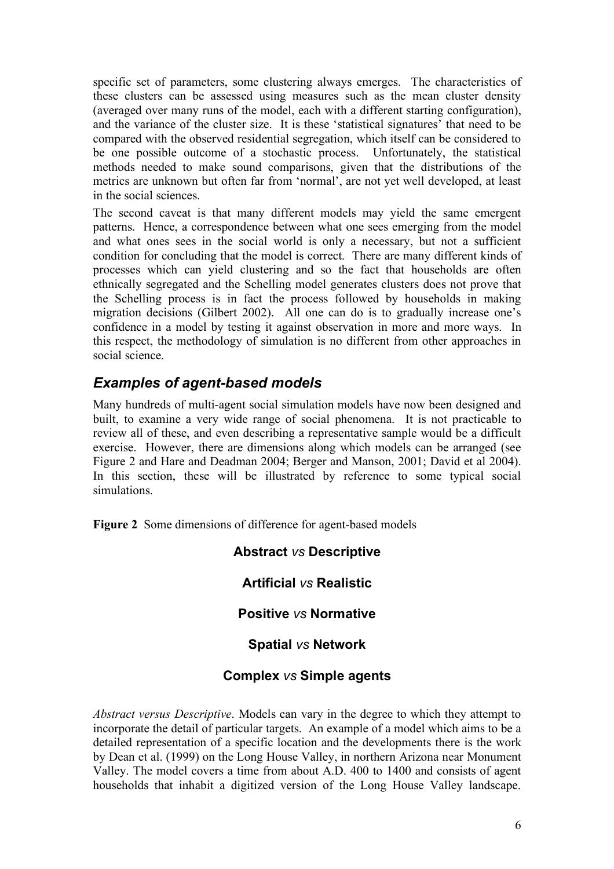specific set of parameters, some clustering always emerges. The characteristics of these clusters can be assessed using measures such as the mean cluster density (averaged over many runs of the model, each with a different starting configuration), and the variance of the cluster size. It is these 'statistical signatures' that need to be compared with the observed residential segregation, which itself can be considered to be one possible outcome of a stochastic process. Unfortunately, the statistical methods needed to make sound comparisons, given that the distributions of the metrics are unknown but often far from 'normal', are not yet well developed, at least in the social sciences.

The second caveat is that many different models may yield the same emergent patterns. Hence, a correspondence between what one sees emerging from the model and what ones sees in the social world is only a necessary, but not a sufficient condition for concluding that the model is correct. There are many different kinds of processes which can yield clustering and so the fact that households are often ethnically segregated and the Schelling model generates clusters does not prove that the Schelling process is in fact the process followed by households in making migration decisions (Gilbert 2002). All one can do is to gradually increase one's confidence in a model by testing it against observation in more and more ways. In this respect, the methodology of simulation is no different from other approaches in social science.

# *Examples of agent-based models*

Many hundreds of multi-agent social simulation models have now been designed and built, to examine a very wide range of social phenomena. It is not practicable to review all of these, and even describing a representative sample would be a difficult exercise. However, there are dimensions along which models can be arranged (see Figure 2 and Hare and Deadman 2004; Berger and Manson, 2001; David et al 2004). In this section, these will be illustrated by reference to some typical social simulations.

**Figure 2** Some dimensions of difference for agent-based models

# **Abstract** *vs* **Descriptive**

#### **Artificial** *vs* **Realistic**

#### **Positive** *vs* **Normative**

#### **Spatial** *vs* **Network**

#### **Complex** *vs* **Simple agents**

*Abstract versus Descriptive*. Models can vary in the degree to which they attempt to incorporate the detail of particular targets. An example of a model which aims to be a detailed representation of a specific location and the developments there is the work by Dean et al. (1999) on the Long House Valley, in northern Arizona near Monument Valley. The model covers a time from about A.D. 400 to 1400 and consists of agent households that inhabit a digitized version of the Long House Valley landscape.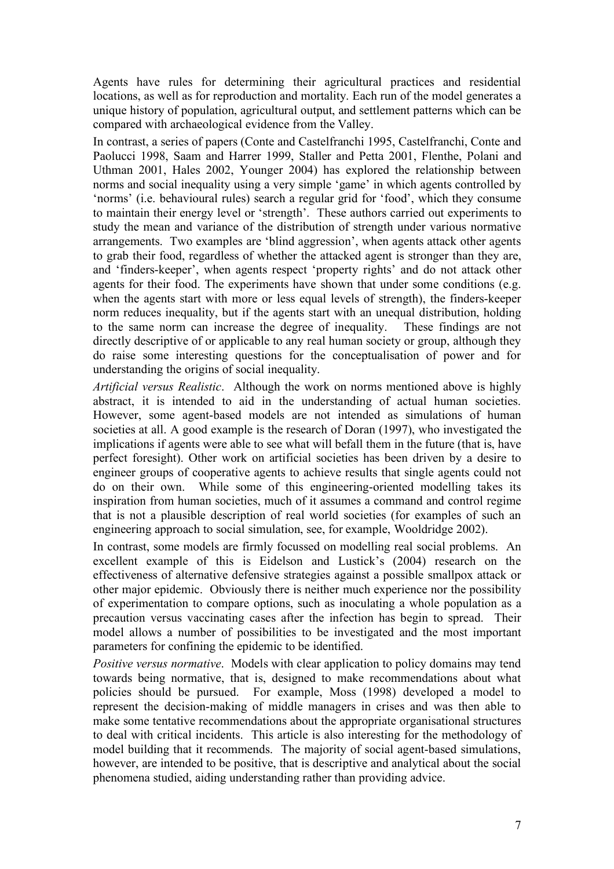Agents have rules for determining their agricultural practices and residential locations, as well as for reproduction and mortality. Each run of the model generates a unique history of population, agricultural output, and settlement patterns which can be compared with archaeological evidence from the Valley.

In contrast, a series of papers (Conte and Castelfranchi 1995, Castelfranchi, Conte and Paolucci 1998, Saam and Harrer 1999, Staller and Petta 2001, Flenthe, Polani and Uthman 2001, Hales 2002, Younger 2004) has explored the relationship between norms and social inequality using a very simple 'game' in which agents controlled by 'norms' (i.e. behavioural rules) search a regular grid for 'food', which they consume to maintain their energy level or 'strength'. These authors carried out experiments to study the mean and variance of the distribution of strength under various normative arrangements. Two examples are 'blind aggression', when agents attack other agents to grab their food, regardless of whether the attacked agent is stronger than they are, and 'finders-keeper', when agents respect 'property rights' and do not attack other agents for their food. The experiments have shown that under some conditions (e.g. when the agents start with more or less equal levels of strength), the finders-keeper norm reduces inequality, but if the agents start with an unequal distribution, holding to the same norm can increase the degree of inequality. These findings are not directly descriptive of or applicable to any real human society or group, although they do raise some interesting questions for the conceptualisation of power and for understanding the origins of social inequality.

*Artificial versus Realistic*. Although the work on norms mentioned above is highly abstract, it is intended to aid in the understanding of actual human societies. However, some agent-based models are not intended as simulations of human societies at all. A good example is the research of Doran (1997), who investigated the implications if agents were able to see what will befall them in the future (that is, have perfect foresight). Other work on artificial societies has been driven by a desire to engineer groups of cooperative agents to achieve results that single agents could not do on their own. While some of this engineering-oriented modelling takes its inspiration from human societies, much of it assumes a command and control regime that is not a plausible description of real world societies (for examples of such an engineering approach to social simulation, see, for example, Wooldridge 2002).

In contrast, some models are firmly focussed on modelling real social problems. An excellent example of this is Eidelson and Lustick's (2004) research on the effectiveness of alternative defensive strategies against a possible smallpox attack or other major epidemic. Obviously there is neither much experience nor the possibility of experimentation to compare options, such as inoculating a whole population as a precaution versus vaccinating cases after the infection has begin to spread. Their model allows a number of possibilities to be investigated and the most important parameters for confining the epidemic to be identified.

*Positive versus normative*. Models with clear application to policy domains may tend towards being normative, that is, designed to make recommendations about what policies should be pursued. For example, Moss (1998) developed a model to represent the decision-making of middle managers in crises and was then able to make some tentative recommendations about the appropriate organisational structures to deal with critical incidents. This article is also interesting for the methodology of model building that it recommends. The majority of social agent-based simulations, however, are intended to be positive, that is descriptive and analytical about the social phenomena studied, aiding understanding rather than providing advice.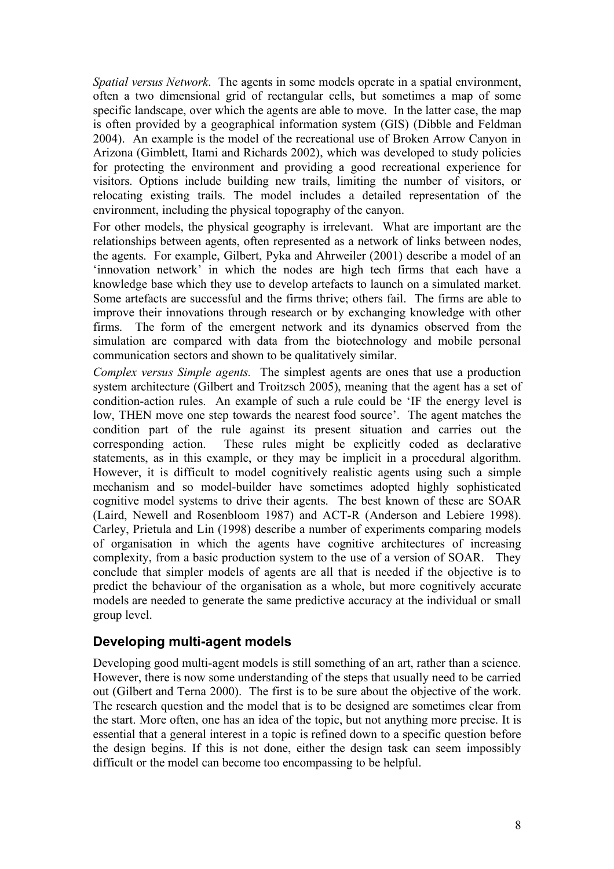*Spatial versus Network*. The agents in some models operate in a spatial environment, often a two dimensional grid of rectangular cells, but sometimes a map of some specific landscape, over which the agents are able to move. In the latter case, the map is often provided by a geographical information system (GIS) (Dibble and Feldman 2004). An example is the model of the recreational use of Broken Arrow Canyon in Arizona (Gimblett, Itami and Richards 2002), which was developed to study policies for protecting the environment and providing a good recreational experience for visitors. Options include building new trails, limiting the number of visitors, or relocating existing trails. The model includes a detailed representation of the environment, including the physical topography of the canyon.

For other models, the physical geography is irrelevant. What are important are the relationships between agents, often represented as a network of links between nodes, the agents. For example, Gilbert, Pyka and Ahrweiler (2001) describe a model of an 'innovation network' in which the nodes are high tech firms that each have a knowledge base which they use to develop artefacts to launch on a simulated market. Some artefacts are successful and the firms thrive; others fail. The firms are able to improve their innovations through research or by exchanging knowledge with other firms. The form of the emergent network and its dynamics observed from the simulation are compared with data from the biotechnology and mobile personal communication sectors and shown to be qualitatively similar.

*Complex versus Simple agents.* The simplest agents are ones that use a production system architecture (Gilbert and Troitzsch 2005), meaning that the agent has a set of condition-action rules. An example of such a rule could be 'IF the energy level is low, THEN move one step towards the nearest food source'. The agent matches the condition part of the rule against its present situation and carries out the corresponding action. These rules might be explicitly coded as declarative statements, as in this example, or they may be implicit in a procedural algorithm. However, it is difficult to model cognitively realistic agents using such a simple mechanism and so model-builder have sometimes adopted highly sophisticated cognitive model systems to drive their agents. The best known of these are SOAR (Laird, Newell and Rosenbloom 1987) and ACT-R (Anderson and Lebiere 1998). Carley, Prietula and Lin (1998) describe a number of experiments comparing models of organisation in which the agents have cognitive architectures of increasing complexity, from a basic production system to the use of a version of SOAR. They conclude that simpler models of agents are all that is needed if the objective is to predict the behaviour of the organisation as a whole, but more cognitively accurate models are needed to generate the same predictive accuracy at the individual or small group level.

#### **Developing multi-agent models**

Developing good multi-agent models is still something of an art, rather than a science. However, there is now some understanding of the steps that usually need to be carried out (Gilbert and Terna 2000). The first is to be sure about the objective of the work. The research question and the model that is to be designed are sometimes clear from the start. More often, one has an idea of the topic, but not anything more precise. It is essential that a general interest in a topic is refined down to a specific question before the design begins. If this is not done, either the design task can seem impossibly difficult or the model can become too encompassing to be helpful.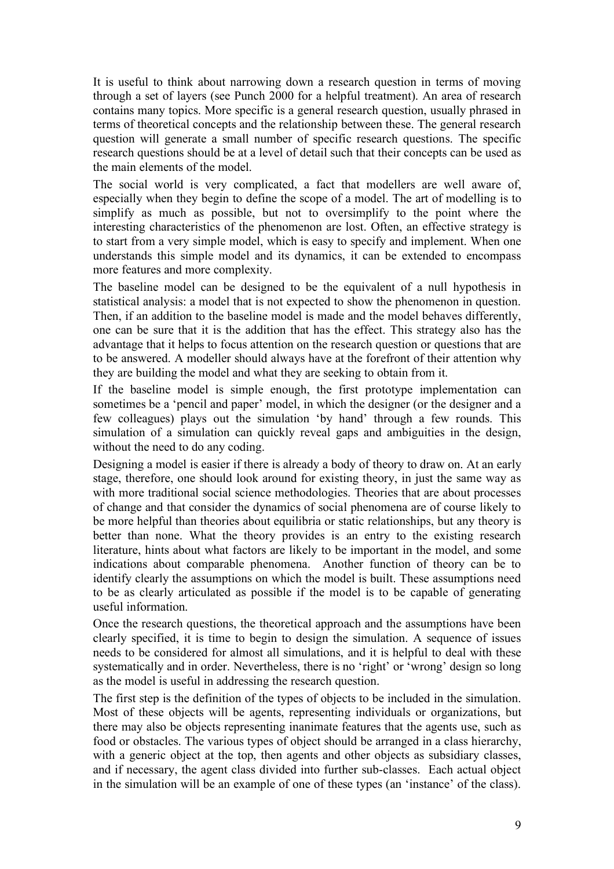It is useful to think about narrowing down a research question in terms of moving through a set of layers (see Punch 2000 for a helpful treatment). An area of research contains many topics. More specific is a general research question, usually phrased in terms of theoretical concepts and the relationship between these. The general research question will generate a small number of specific research questions. The specific research questions should be at a level of detail such that their concepts can be used as the main elements of the model.

The social world is very complicated, a fact that modellers are well aware of, especially when they begin to define the scope of a model. The art of modelling is to simplify as much as possible, but not to oversimplify to the point where the interesting characteristics of the phenomenon are lost. Often, an effective strategy is to start from a very simple model, which is easy to specify and implement. When one understands this simple model and its dynamics, it can be extended to encompass more features and more complexity.

The baseline model can be designed to be the equivalent of a null hypothesis in statistical analysis: a model that is not expected to show the phenomenon in question. Then, if an addition to the baseline model is made and the model behaves differently, one can be sure that it is the addition that has the effect. This strategy also has the advantage that it helps to focus attention on the research question or questions that are to be answered. A modeller should always have at the forefront of their attention why they are building the model and what they are seeking to obtain from it.

If the baseline model is simple enough, the first prototype implementation can sometimes be a 'pencil and paper' model, in which the designer (or the designer and a few colleagues) plays out the simulation 'by hand' through a few rounds. This simulation of a simulation can quickly reveal gaps and ambiguities in the design, without the need to do any coding.

Designing a model is easier if there is already a body of theory to draw on. At an early stage, therefore, one should look around for existing theory, in just the same way as with more traditional social science methodologies. Theories that are about processes of change and that consider the dynamics of social phenomena are of course likely to be more helpful than theories about equilibria or static relationships, but any theory is better than none. What the theory provides is an entry to the existing research literature, hints about what factors are likely to be important in the model, and some indications about comparable phenomena. Another function of theory can be to identify clearly the assumptions on which the model is built. These assumptions need to be as clearly articulated as possible if the model is to be capable of generating useful information.

Once the research questions, the theoretical approach and the assumptions have been clearly specified, it is time to begin to design the simulation. A sequence of issues needs to be considered for almost all simulations, and it is helpful to deal with these systematically and in order. Nevertheless, there is no 'right' or 'wrong' design so long as the model is useful in addressing the research question.

The first step is the definition of the types of objects to be included in the simulation. Most of these objects will be agents, representing individuals or organizations, but there may also be objects representing inanimate features that the agents use, such as food or obstacles. The various types of object should be arranged in a class hierarchy, with a generic object at the top, then agents and other objects as subsidiary classes, and if necessary, the agent class divided into further sub-classes. Each actual object in the simulation will be an example of one of these types (an 'instance' of the class).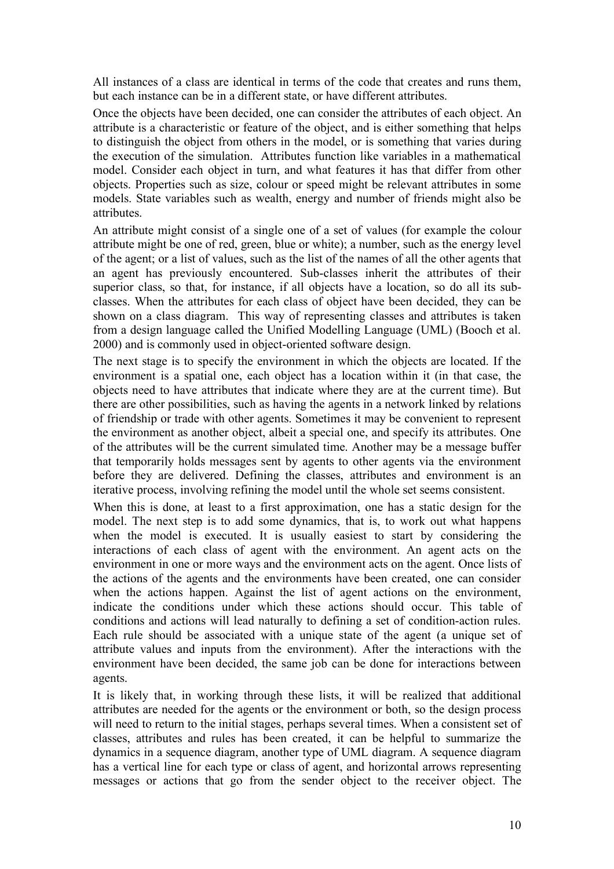All instances of a class are identical in terms of the code that creates and runs them, but each instance can be in a different state, or have different attributes.

Once the objects have been decided, one can consider the attributes of each object. An attribute is a characteristic or feature of the object, and is either something that helps to distinguish the object from others in the model, or is something that varies during the execution of the simulation. Attributes function like variables in a mathematical model. Consider each object in turn, and what features it has that differ from other objects. Properties such as size, colour or speed might be relevant attributes in some models. State variables such as wealth, energy and number of friends might also be attributes.

An attribute might consist of a single one of a set of values (for example the colour attribute might be one of red, green, blue or white); a number, such as the energy level of the agent; or a list of values, such as the list of the names of all the other agents that an agent has previously encountered. Sub-classes inherit the attributes of their superior class, so that, for instance, if all objects have a location, so do all its subclasses. When the attributes for each class of object have been decided, they can be shown on a class diagram. This way of representing classes and attributes is taken from a design language called the Unified Modelling Language (UML) (Booch et al. 2000) and is commonly used in object-oriented software design.

The next stage is to specify the environment in which the objects are located. If the environment is a spatial one, each object has a location within it (in that case, the objects need to have attributes that indicate where they are at the current time). But there are other possibilities, such as having the agents in a network linked by relations of friendship or trade with other agents. Sometimes it may be convenient to represent the environment as another object, albeit a special one, and specify its attributes. One of the attributes will be the current simulated time. Another may be a message buffer that temporarily holds messages sent by agents to other agents via the environment before they are delivered. Defining the classes, attributes and environment is an iterative process, involving refining the model until the whole set seems consistent.

When this is done, at least to a first approximation, one has a static design for the model. The next step is to add some dynamics, that is, to work out what happens when the model is executed. It is usually easiest to start by considering the interactions of each class of agent with the environment. An agent acts on the environment in one or more ways and the environment acts on the agent. Once lists of the actions of the agents and the environments have been created, one can consider when the actions happen. Against the list of agent actions on the environment, indicate the conditions under which these actions should occur. This table of conditions and actions will lead naturally to defining a set of condition-action rules. Each rule should be associated with a unique state of the agent (a unique set of attribute values and inputs from the environment). After the interactions with the environment have been decided, the same job can be done for interactions between agents.

It is likely that, in working through these lists, it will be realized that additional attributes are needed for the agents or the environment or both, so the design process will need to return to the initial stages, perhaps several times. When a consistent set of classes, attributes and rules has been created, it can be helpful to summarize the dynamics in a sequence diagram, another type of UML diagram. A sequence diagram has a vertical line for each type or class of agent, and horizontal arrows representing messages or actions that go from the sender object to the receiver object. The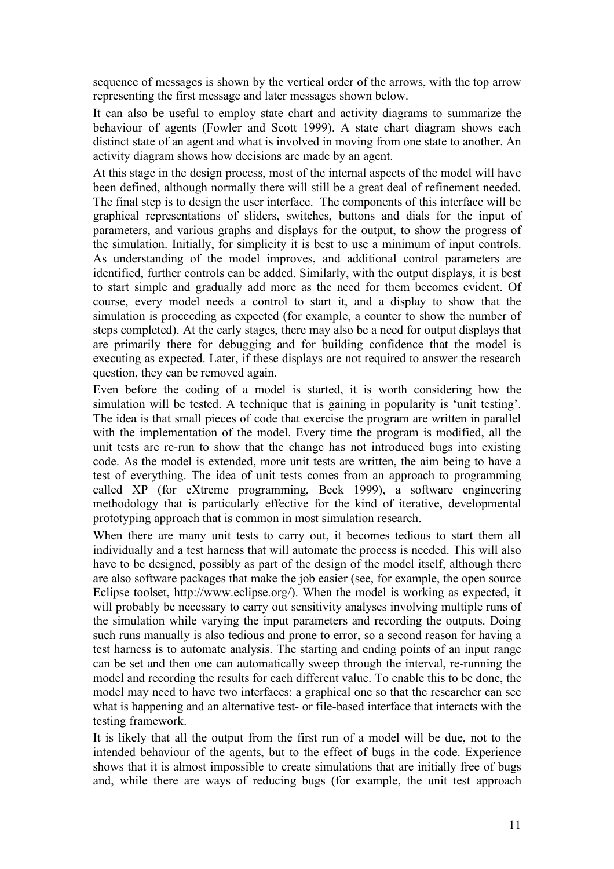sequence of messages is shown by the vertical order of the arrows, with the top arrow representing the first message and later messages shown below.

It can also be useful to employ state chart and activity diagrams to summarize the behaviour of agents (Fowler and Scott 1999). A state chart diagram shows each distinct state of an agent and what is involved in moving from one state to another. An activity diagram shows how decisions are made by an agent.

At this stage in the design process, most of the internal aspects of the model will have been defined, although normally there will still be a great deal of refinement needed. The final step is to design the user interface. The components of this interface will be graphical representations of sliders, switches, buttons and dials for the input of parameters, and various graphs and displays for the output, to show the progress of the simulation. Initially, for simplicity it is best to use a minimum of input controls. As understanding of the model improves, and additional control parameters are identified, further controls can be added. Similarly, with the output displays, it is best to start simple and gradually add more as the need for them becomes evident. Of course, every model needs a control to start it, and a display to show that the simulation is proceeding as expected (for example, a counter to show the number of steps completed). At the early stages, there may also be a need for output displays that are primarily there for debugging and for building confidence that the model is executing as expected. Later, if these displays are not required to answer the research question, they can be removed again.

Even before the coding of a model is started, it is worth considering how the simulation will be tested. A technique that is gaining in popularity is 'unit testing'. The idea is that small pieces of code that exercise the program are written in parallel with the implementation of the model. Every time the program is modified, all the unit tests are re-run to show that the change has not introduced bugs into existing code. As the model is extended, more unit tests are written, the aim being to have a test of everything. The idea of unit tests comes from an approach to programming called XP (for eXtreme programming, Beck 1999), a software engineering methodology that is particularly effective for the kind of iterative, developmental prototyping approach that is common in most simulation research.

When there are many unit tests to carry out, it becomes tedious to start them all individually and a test harness that will automate the process is needed. This will also have to be designed, possibly as part of the design of the model itself, although there are also software packages that make the job easier (see, for example, the open source Eclipse toolset, http://www.eclipse.org/). When the model is working as expected, it will probably be necessary to carry out sensitivity analyses involving multiple runs of the simulation while varying the input parameters and recording the outputs. Doing such runs manually is also tedious and prone to error, so a second reason for having a test harness is to automate analysis. The starting and ending points of an input range can be set and then one can automatically sweep through the interval, re-running the model and recording the results for each different value. To enable this to be done, the model may need to have two interfaces: a graphical one so that the researcher can see what is happening and an alternative test- or file-based interface that interacts with the testing framework.

It is likely that all the output from the first run of a model will be due, not to the intended behaviour of the agents, but to the effect of bugs in the code. Experience shows that it is almost impossible to create simulations that are initially free of bugs and, while there are ways of reducing bugs (for example, the unit test approach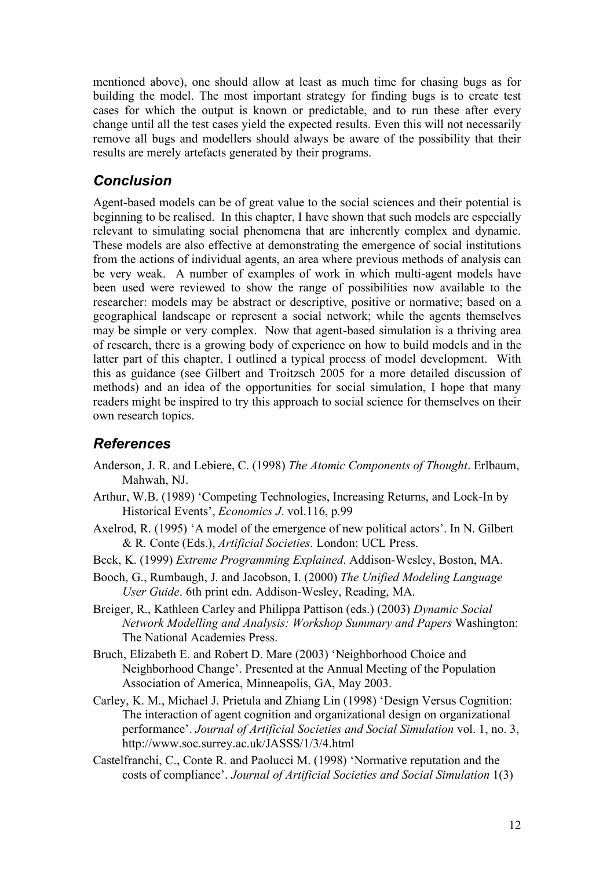mentioned above), one should allow at least as much time for chasing bugs as for building the model. The most important strategy for finding bugs is to create test cases for which the output is known or predictable, and to run these after every change until all the test cases yield the expected results. Even this will not necessarily remove all bugs and modellers should always be aware of the possibility that their results are merely artefacts generated by their programs.

# *Conclusion*

Agent-based models can be of great value to the social sciences and their potential is beginning to be realised. In this chapter, I have shown that such models are especially relevant to simulating social phenomena that are inherently complex and dynamic. These models are also effective at demonstrating the emergence of social institutions from the actions of individual agents, an area where previous methods of analysis can be very weak. A number of examples of work in which multi-agent models have been used were reviewed to show the range of possibilities now available to the researcher: models may be abstract or descriptive, positive or normative; based on a geographical landscape or represent a social network; while the agents themselves may be simple or very complex. Now that agent-based simulation is a thriving area of research, there is a growing body of experience on how to build models and in the latter part of this chapter, I outlined a typical process of model development. With this as guidance (see Gilbert and Troitzsch 2005 for a more detailed discussion of methods) and an idea of the opportunities for social simulation, I hope that many readers might be inspired to try this approach to social science for themselves on their own research topics.

# *References*

- Anderson, J. R. and Lebiere, C. (1998) *The Atomic Components of Thought*. Erlbaum, Mahwah, NJ.
- Arthur, W.B. (1989) 'Competing Technologies, Increasing Returns, and Lock-In by Historical Events', *Economics J*. vol.116, p.99
- Axelrod, R. (1995) 'A model of the emergence of new political actors'. In N. Gilbert & R. Conte (Eds.), *Artificial Societies*. London: UCL Press.
- Beck, K. (1999) *Extreme Programming Explained*. Addison-Wesley, Boston, MA.
- Booch, G., Rumbaugh, J. and Jacobson, I. (2000) *The Unified Modeling Language User Guide*. 6th print edn. Addison-Wesley, Reading, MA.
- Breiger, R., Kathleen Carley and Philippa Pattison (eds.) (2003) *Dynamic Social Network Modelling and Analysis: Workshop Summary and Papers* Washington: The National Academies Press.
- Bruch, Elizabeth E. and Robert D. Mare (2003) 'Neighborhood Choice and Neighborhood Change'. Presented at the Annual Meeting of the Population Association of America, Minneapolis, GA, May 2003.
- Carley, K. M., Michael J. Prietula and Zhiang Lin (1998) 'Design Versus Cognition: The interaction of agent cognition and organizational design on organizational performance'. *Journal of Artificial Societies and Social Simulation* vol. 1, no. 3, http://www.soc.surrey.ac.uk/JASSS/1/3/4.html
- Castelfranchi, C., Conte R. and Paolucci M. (1998) 'Normative reputation and the costs of compliance'. *Journal of Artificial Societies and Social Simulation* 1(3)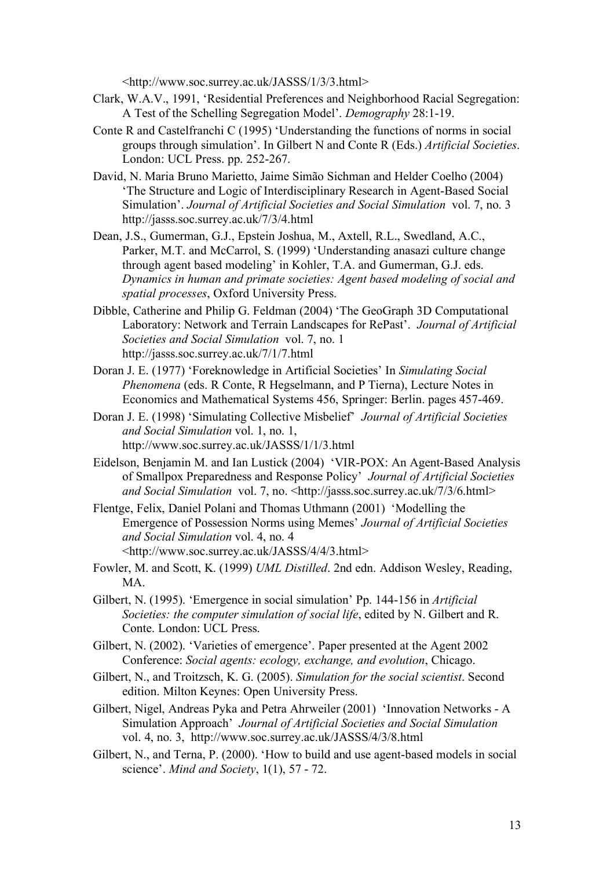<http://www.soc.surrey.ac.uk/JASSS/1/3/3.html>

- Clark, W.A.V., 1991, 'Residential Preferences and Neighborhood Racial Segregation: A Test of the Schelling Segregation Model'. *Demography* 28:1-19.
- Conte R and Castelfranchi C (1995) 'Understanding the functions of norms in social groups through simulation'. In Gilbert N and Conte R (Eds.) *Artificial Societies*. London: UCL Press. pp. 252-267.
- David, N. Maria Bruno Marietto, Jaime Simão Sichman and Helder Coelho (2004) 'The Structure and Logic of Interdisciplinary Research in Agent-Based Social Simulation'. *Journal of Artificial Societies and Social Simulation* vol. 7, no. 3 http://jasss.soc.surrey.ac.uk/7/3/4.html
- Dean, J.S., Gumerman, G.J., Epstein Joshua, M., Axtell, R.L., Swedland, A.C., Parker, M.T. and McCarrol, S. (1999) 'Understanding anasazi culture change through agent based modeling' in Kohler, T.A. and Gumerman, G.J. eds. *Dynamics in human and primate societies: Agent based modeling of social and spatial processes*, Oxford University Press.
- Dibble, Catherine and Philip G. Feldman (2004) 'The GeoGraph 3D Computational Laboratory: Network and Terrain Landscapes for RePast'. *Journal of Artificial Societies and Social Simulation* vol. 7, no. 1 http://jasss.soc.surrey.ac.uk/7/1/7.html
- Doran J. E. (1977) 'Foreknowledge in Artificial Societies' In *Simulating Social Phenomena* (eds. R Conte, R Hegselmann, and P Tierna), Lecture Notes in Economics and Mathematical Systems 456, Springer: Berlin. pages 457-469.
- Doran J. E. (1998) 'Simulating Collective Misbelief' *Journal of Artificial Societies and Social Simulation* vol. 1, no. 1, http://www.soc.surrey.ac.uk/JASSS/1/1/3.html
- Eidelson, Benjamin M. and Ian Lustick (2004) 'VIR-POX: An Agent-Based Analysis of Smallpox Preparedness and Response Policy' *Journal of Artificial Societies and Social Simulation* vol. 7, no. <http://jasss.soc.surrey.ac.uk/7/3/6.html>
- Flentge, Felix, Daniel Polani and Thomas Uthmann (2001) 'Modelling the Emergence of Possession Norms using Memes' *Journal of Artificial Societies and Social Simulation* vol. 4, no. 4 <http://www.soc.surrey.ac.uk/JASSS/4/4/3.html>
- Fowler, M. and Scott, K. (1999) *UML Distilled*. 2nd edn. Addison Wesley, Reading, MA.
- Gilbert, N. (1995). 'Emergence in social simulation' Pp. 144-156 in *Artificial Societies: the computer simulation of social life*, edited by N. Gilbert and R. Conte. London: UCL Press.
- Gilbert, N. (2002). 'Varieties of emergence'. Paper presented at the Agent 2002 Conference: *Social agents: ecology, exchange, and evolution*, Chicago.
- Gilbert, N., and Troitzsch, K. G. (2005). *Simulation for the social scientist*. Second edition. Milton Keynes: Open University Press.
- Gilbert, Nigel, Andreas Pyka and Petra Ahrweiler (2001) 'Innovation Networks A Simulation Approach' *Journal of Artificial Societies and Social Simulation* vol. 4, no. 3, http://www.soc.surrey.ac.uk/JASSS/4/3/8.html
- Gilbert, N., and Terna, P. (2000). 'How to build and use agent-based models in social science'. *Mind and Society*, 1(1), 57 - 72.